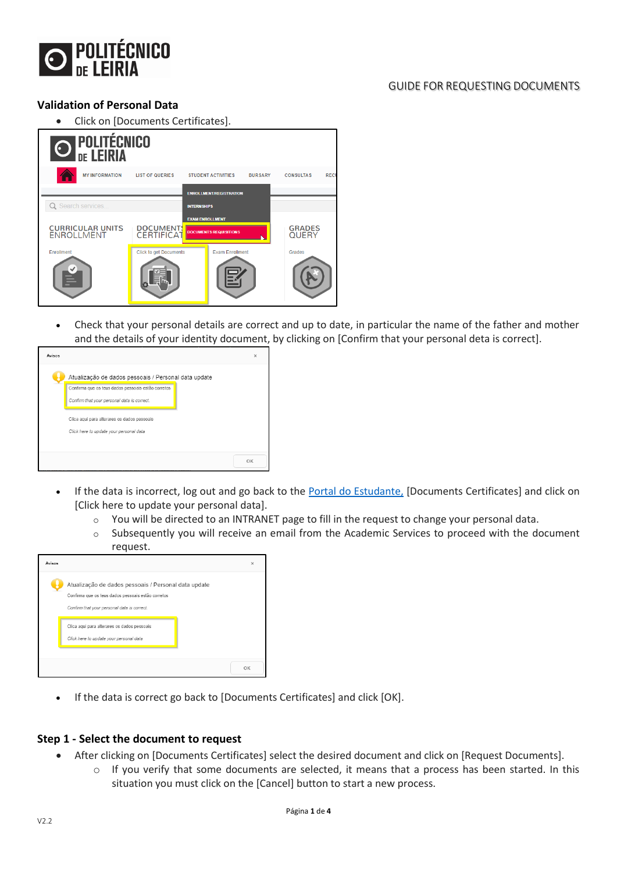

### GUIDE FOR REQUESTING DOCUMENTS

## **Validation of Personal Data**

• Click on [Documents Certificates].



• Check that your personal details are correct and up to date, in particular the name of the father and mother and the details of your identity document, by clicking on [Confirm that your personal deta is correct].



- If the data is incorrect, log out and go back to the [Portal do Estudante,](https://portaldoestudante.ipleiria.pt/netpa/page) [Documents Certificates] and click on [Click here to update your personal data].
	- o You will be directed to an INTRANET page to fill in the request to change your personal data.
	- o Subsequently you will receive an email from the Academic Services to proceed with the document request.

| Atualização de dados pessoais / Personal data update<br>Confirma que os teus dados pessoais estão corretos |  |
|------------------------------------------------------------------------------------------------------------|--|
| Confirm that your personal data is correct.                                                                |  |
| Clica aqui para alterares os dados pessoais<br>Click here to update your personal data                     |  |
|                                                                                                            |  |

If the data is correct go back to [Documents Certificates] and click [OK].

#### **Step 1 - Select the document to request**

- After clicking on [Documents Certificates] select the desired document and click on [Request Documents].
	- $\circ$  If you verify that some documents are selected, it means that a process has been started. In this situation you must click on the [Cancel] button to start a new process.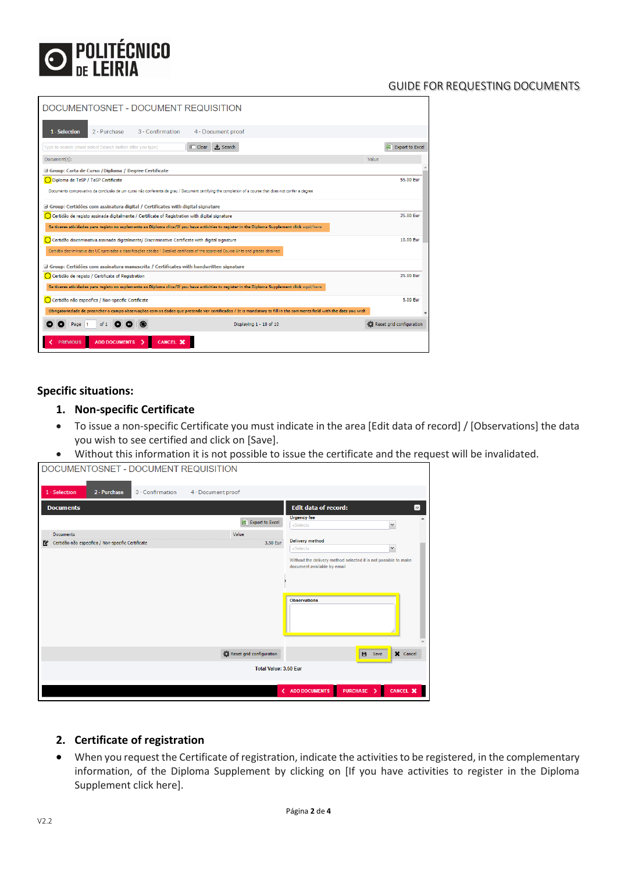

#### GUIDE FOR REQUESTING DOCUMENTS

| DOCUMENTOSNET - DOCUMENT REQUISITION                                                                                                                               |                          |
|--------------------------------------------------------------------------------------------------------------------------------------------------------------------|--------------------------|
| 1 - Selection<br>2 - Purchase<br>3 - Confirmation<br>4 - Document proof                                                                                            |                          |
| <b>★</b> Search<br>Type to search (must select Search button after you type)<br>$\overline{1}$ Clear                                                               | Export to Excel          |
| Document(s):                                                                                                                                                       | Value                    |
| Group: Carta de Curso / Diploma / Degree Certificate                                                                                                               |                          |
| Diploma de TeSP / TeSP Certificate                                                                                                                                 | 55.00 Eur                |
| Documento comprovativo da conclusão de um curso não conferente de grau / Document certifying the completion of a course that does not confer a degree              |                          |
| Group: Certidões com assinatura digital / Certificates with digital signature                                                                                      |                          |
| Certidão de registo assinada digitalmente / Certificate of Registration with digital signature                                                                     | 25.00 Fur                |
| Se tiveres atividades para registo no suplemento ao Diploma clica/If you have activities to register in the Diploma Supplement click agui/here                     |                          |
| Certidão discriminativa assinada digitalmente/ Discriminative Certificate with digital signature                                                                   | 10.00 Fur                |
| Certidão discriminativa das UC aprovadas e classificações obtidas / Detailed certificate of the approved Course Units and grades obtained                          |                          |
| G Group: Certidões com assinatura manuscrita / Certificates with handwritten signature                                                                             |                          |
| Certidão de registo / Certificate of Registration                                                                                                                  | 25.00 Eur                |
| Se tiveres atividades para registo no suplemento ao Diploma clica/If you have activities to register in the Diploma Supplement click aqui/here                     |                          |
| Certidão não especifica / Non-specific Certificate                                                                                                                 | 5.00 Eur                 |
| Obrigatoriedade de preencher o campo observações com os dados que pretende ver certificados / It is mandatory to fill in the comments field with the data you wish |                          |
| Displaying 1 - 10 of 10<br>of 1<br>Page                                                                                                                            | Reset grid configuration |
| <b>ADD DOCUMENTS</b><br>CANCEL X<br><b>PREVIOUS</b>                                                                                                                |                          |

#### **Specific situations:**

- **1. Non-specific Certificate**
- To issue a non-specific Certificate you must indicate in the area [Edit data of record] / [Observations] the data you wish to see certified and click on [Save].
- Without this information it is not possible to issue the certificate and the request will be invalidated.

| DOCUMENTOSNET - DOCUMENT REQUISITION                    |                              |                                                                                                                       |
|---------------------------------------------------------|------------------------------|-----------------------------------------------------------------------------------------------------------------------|
| 1 - Selection<br>2 - Purchase<br>3 - Confirmation       | 4 - Document proof           |                                                                                                                       |
| <b>Documents</b>                                        |                              | $\boldsymbol{\Sigma}$<br><b>Edit data of record:</b>                                                                  |
|                                                         | Export to Excel              | <b>Urgency fee</b><br>$\checkmark$<br>«Select»                                                                        |
| <b>Documents</b>                                        | Value                        |                                                                                                                       |
| Certidão não especifica / Non-specific Certificate<br>ľ | 3.50 Eur                     | <b>Delivery method</b><br>$\mathbf{v}$<br>«Select»                                                                    |
|                                                         |                              | Without the delivery method selected it is not possible to make<br>document available by email<br><b>Observations</b> |
|                                                         | Reset grid configuration     | X Cancel<br>в<br>Save                                                                                                 |
|                                                         | <b>Total Value: 3.50 Eur</b> |                                                                                                                       |
|                                                         |                              | PURCHASE ><br>CANCEL X<br>< ADD DOCUMENTS                                                                             |

#### **2. Certificate of registration**

• When you request the Certificate of registration, indicate the activities to be registered, in the complementary information, of the Diploma Supplement by clicking on [If you have activities to register in the Diploma Supplement click here].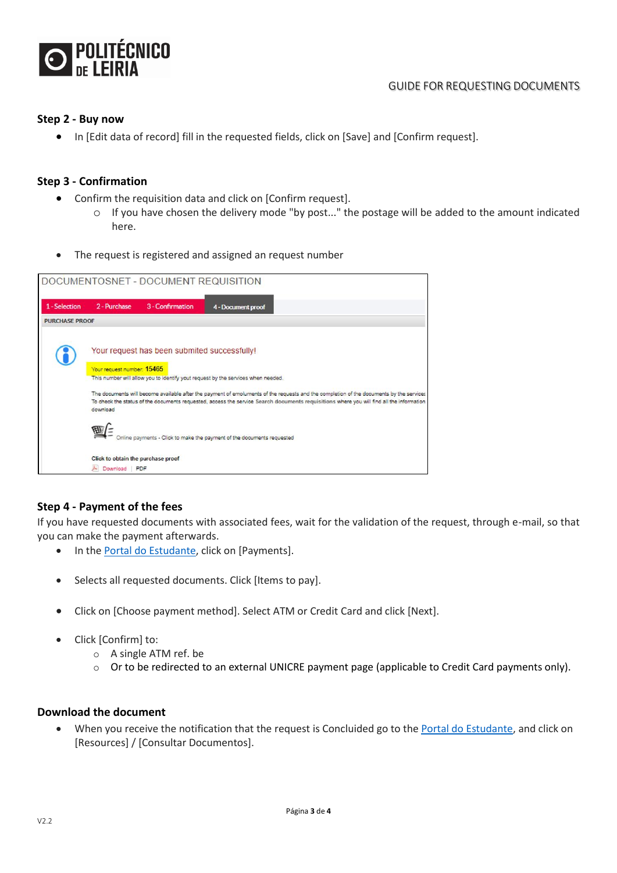

#### **Step 2 - Buy now**

• In [Edit data of record] fill in the requested fields, click on [Save] and [Confirm request].

#### **Step 3 - Confirmation**

- Confirm the requisition data and click on [Confirm request].
	- $\circ$  If you have chosen the delivery mode "by post..." the postage will be added to the amount indicated here.
- The request is registered and assigned an request number



#### **Step 4 - Payment of the fees**

If you have requested documents with associated fees, wait for the validation of the request, through e-mail, so that you can make the payment afterwards.

- In th[e Portal do Estudante,](https://portaldoestudante.ipleiria.pt/netpa/page) click on [Payments].
- Selects all requested documents. Click [Items to pay].
- Click on [Choose payment method]. Select ATM or Credit Card and click [Next].
- Click [Confirm] to:
	- o A single ATM ref. be
	- $\circ$  Or to be redirected to an external UNICRE payment page (applicable to Credit Card payments only).

#### **Download the document**

• When you receive the notification that the request is Concluided go to th[e Portal do Estudante,](https://portaldoestudante.ipleiria.pt/netpa/page) and click on [Resources] / [Consultar Documentos].